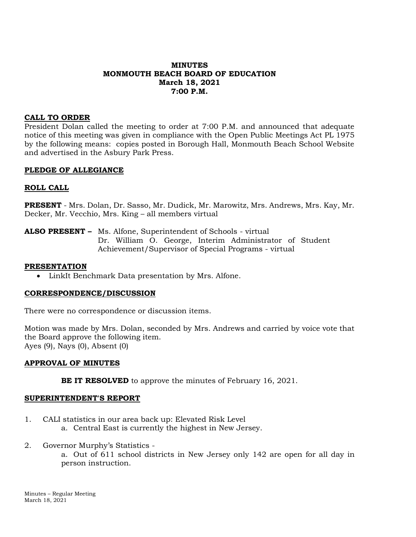## **MINUTES MONMOUTH BEACH BOARD OF EDUCATION March 18, 2021 7:00 P.M.**

### **CALL TO ORDER**

President Dolan called the meeting to order at 7:00 P.M. and announced that adequate notice of this meeting was given in compliance with the Open Public Meetings Act PL 1975 by the following means: copies posted in Borough Hall, Monmouth Beach School Website and advertised in the Asbury Park Press.

#### **PLEDGE OF ALLEGIANCE**

#### **ROLL CALL**

**PRESENT** - Mrs. Dolan, Dr. Sasso, Mr. Dudick, Mr. Marowitz, Mrs. Andrews, Mrs. Kay, Mr. Decker, Mr. Vecchio, Mrs. King – all members virtual

**ALSO PRESENT –** Ms. Alfone, Superintendent of Schools - virtual Dr. William O. George, Interim Administrator of Student Achievement/Supervisor of Special Programs - virtual

#### **PRESENTATION**

LinkIt Benchmark Data presentation by Mrs. Alfone.

#### **CORRESPONDENCE/DISCUSSION**

There were no correspondence or discussion items.

Motion was made by Mrs. Dolan, seconded by Mrs. Andrews and carried by voice vote that the Board approve the following item. Ayes (9), Nays (0), Absent (0)

#### **APPROVAL OF MINUTES**

**BE IT RESOLVED** to approve the minutes of February 16, 2021.

#### **SUPERINTENDENT'S REPORT**

- 1. CALI statistics in our area back up: Elevated Risk Level a. Central East is currently the highest in New Jersey.
- 2. Governor Murphy's Statistics a. Out of 611 school districts in New Jersey only 142 are open for all day in person instruction.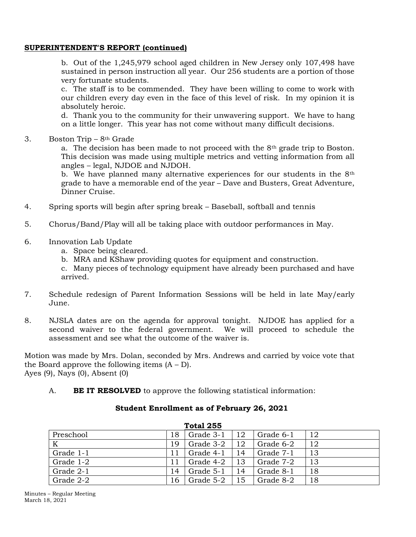## **SUPERINTENDENT'S REPORT (continued)**

b. Out of the 1,245,979 school aged children in New Jersey only 107,498 have sustained in person instruction all year. Our 256 students are a portion of those very fortunate students.

c. The staff is to be commended. They have been willing to come to work with our children every day even in the face of this level of risk. In my opinion it is absolutely heroic.

d. Thank you to the community for their unwavering support. We have to hang on a little longer. This year has not come without many difficult decisions.

3. Boston Trip –  $8<sup>th</sup>$  Grade

a. The decision has been made to not proceed with the  $8<sup>th</sup>$  grade trip to Boston. This decision was made using multiple metrics and vetting information from all angles – legal, NJDOE and NJDOH.

b. We have planned many alternative experiences for our students in the 8<sup>th</sup> grade to have a memorable end of the year – Dave and Busters, Great Adventure, Dinner Cruise.

- 4. Spring sports will begin after spring break Baseball, softball and tennis
- 5. Chorus/Band/Play will all be taking place with outdoor performances in May.
- 6. Innovation Lab Update
	- a. Space being cleared.
	- b. MRA and KShaw providing quotes for equipment and construction.
	- c. Many pieces of technology equipment have already been purchased and have arrived.
- 7. Schedule redesign of Parent Information Sessions will be held in late May/early June.
- 8. NJSLA dates are on the agenda for approval tonight. NJDOE has applied for a second waiver to the federal government. We will proceed to schedule the assessment and see what the outcome of the waiver is.

Motion was made by Mrs. Dolan, seconded by Mrs. Andrews and carried by voice vote that the Board approve the following items  $(A - D)$ . Ayes (9), Nays (0), Absent (0)

A. **BE IT RESOLVED** to approve the following statistical information:

| <b>Total 255</b> |    |           |    |           |    |
|------------------|----|-----------|----|-----------|----|
| Preschool        | 18 | Grade 3-1 | 12 | Grade 6-1 | 12 |
| K                | 19 | Grade 3-2 | 12 | Grade 6-2 | 12 |
| Grade 1-1        | 11 | Grade 4-1 | 14 | Grade 7-1 | 13 |
| Grade 1-2        | 11 | Grade 4-2 | 13 | Grade 7-2 | 13 |
| Grade 2-1        | 14 | Grade 5-1 | 14 | Grade 8-1 | 18 |
| Grade 2-2        | 16 | Grade 5-2 | 15 | Grade 8-2 | 18 |

## **Student Enrollment as of February 26, 2021**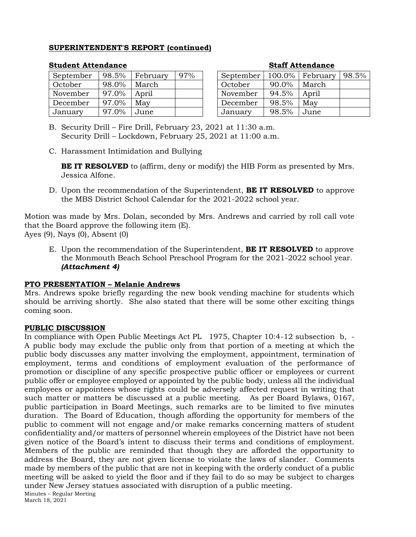## **SUPERINTENDENT'S REPORT (continued)**

| September | 98.5% | February | 97% |
|-----------|-------|----------|-----|
| October   | 98.0% | March    |     |
| November  | 97.0% | April    |     |
| December  | 97.0% | May      |     |
| January   | 97.0% | June     |     |

#### **Student Attendance Staff Attendance**

| September | 100.0% | February | 98.5% |
|-----------|--------|----------|-------|
| October   | 90.0%  | March    |       |
| November  | 94.5%  | April    |       |
| December  | 98.5%  | May      |       |
| January   | 98.5%  | June     |       |

B. Security Drill – Fire Drill, February 23, 2021 at 11:30 a.m. Security Drill – Lockdown, February 25, 2021 at 11:00 a.m.

C. Harassment Intimidation and Bullying

**BE IT RESOLVED** to (affirm, deny or modify) the HIB Form as presented by Mrs. Jessica Alfone.

D. Upon the recommendation of the Superintendent, **BE IT RESOLVED** to approve the MBS District School Calendar for the 2021-2022 school year.

Motion was made by Mrs. Dolan, seconded by Mrs. Andrews and carried by roll call vote that the Board approve the following item (E). Ayes (9), Nays (0), Absent (0)

E. Upon the recommendation of the Superintendent, **BE IT RESOLVED** to approve the Monmouth Beach School Preschool Program for the 2021-2022 school year. *(Attachment 4)*

#### **PTO PRESENTATION – Melanie Andrews**

Mrs. Andrews spoke briefly regarding the new book vending machine for students which should be arriving shortly. She also stated that there will be some other exciting things coming soon.

#### **PUBLIC DISCUSSION**

Minutes – Regular Meeting March 18, 2021 In compliance with Open Public Meetings Act PL 1975, Chapter 10:4-12 subsection b, - A public body may exclude the public only from that portion of a meeting at which the public body discusses any matter involving the employment, appointment, termination of employment, terms and conditions of employment evaluation of the performance of promotion or discipline of any specific prospective public officer or employees or current public offer or employee employed or appointed by the public body, unless all the individual employees or appointees whose rights could be adversely affected request in writing that such matter or matters be discussed at a public meeting. As per Board Bylaws, 0167, public participation in Board Meetings, such remarks are to be limited to five minutes duration. The Board of Education, though affording the opportunity for members of the public to comment will not engage and/or make remarks concerning matters of student confidentiality and/or matters of personnel wherein employees of the District have not been given notice of the Board's intent to discuss their terms and conditions of employment. Members of the public are reminded that though they are afforded the opportunity to address the Board, they are not given license to violate the laws of slander. Comments made by members of the public that are not in keeping with the orderly conduct of a public meeting will be asked to yield the floor and if they fail to do so may be subject to charges under New Jersey statues associated with disruption of a public meeting.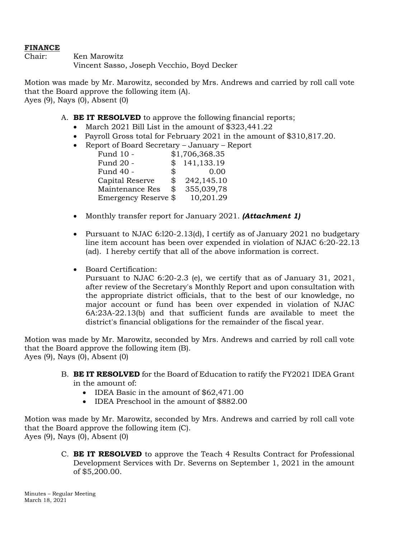## **FINANCE**

Chair: Ken Marowitz Vincent Sasso, Joseph Vecchio, Boyd Decker

Motion was made by Mr. Marowitz, seconded by Mrs. Andrews and carried by roll call vote that the Board approve the following item (A). Ayes (9), Nays (0), Absent (0)

- A. **BE IT RESOLVED** to approve the following financial reports;
	- March 2021 Bill List in the amount of \$323,441.22
	- Payroll Gross total for February 2021 in the amount of \$310,817.20.
	- Report of Board Secretary January Report

| Fund 10 -            |            | \$1,706,368.35 |
|----------------------|------------|----------------|
| Fund 20 -            | $^{\circ}$ | 141,133.19     |
| Fund 40 -            | \$         | 0.00           |
| Capital Reserve      | \$         | 242,145.10     |
| Maintenance Res      | \$         | 355,039,78     |
| Emergency Reserve \$ |            | 10,201.29      |

- Monthly transfer report for January 2021. *(Attachment 1)*
- Pursuant to NJAC 6:120-2.13(d), I certify as of January 2021 no budgetary line item account has been over expended in violation of NJAC 6:20-22.13 (ad). I hereby certify that all of the above information is correct.
- Board Certification:

Pursuant to NJAC 6:20-2.3 (e), we certify that as of January 31, 2021, after review of the Secretary's Monthly Report and upon consultation with the appropriate district officials, that to the best of our knowledge, no major account or fund has been over expended in violation of NJAC 6A:23A-22.13(b) and that sufficient funds are available to meet the district's financial obligations for the remainder of the fiscal year.

Motion was made by Mr. Marowitz, seconded by Mrs. Andrews and carried by roll call vote that the Board approve the following item (B). Ayes (9), Nays (0), Absent (0)

- B. **BE IT RESOLVED** for the Board of Education to ratify the FY2021 IDEA Grant in the amount of:
	- IDEA Basic in the amount of \$62,471.00
	- IDEA Preschool in the amount of \$882.00

Motion was made by Mr. Marowitz, seconded by Mrs. Andrews and carried by roll call vote that the Board approve the following item (C). Ayes (9), Nays (0), Absent (0)

> C. **BE IT RESOLVED** to approve the Teach 4 Results Contract for Professional Development Services with Dr. Severns on September 1, 2021 in the amount of \$5,200.00.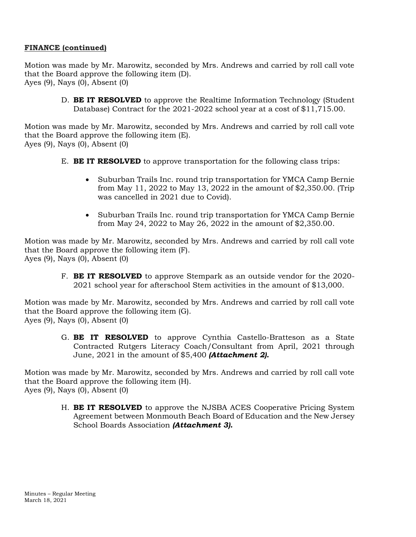# **FINANCE (continued)**

Motion was made by Mr. Marowitz, seconded by Mrs. Andrews and carried by roll call vote that the Board approve the following item (D). Ayes (9), Nays (0), Absent (0)

> D. **BE IT RESOLVED** to approve the Realtime Information Technology (Student Database) Contract for the 2021-2022 school year at a cost of \$11,715.00.

Motion was made by Mr. Marowitz, seconded by Mrs. Andrews and carried by roll call vote that the Board approve the following item (E). Ayes (9), Nays (0), Absent (0)

- E. **BE IT RESOLVED** to approve transportation for the following class trips:
	- Suburban Trails Inc. round trip transportation for YMCA Camp Bernie from May 11, 2022 to May 13, 2022 in the amount of \$2,350.00. (Trip was cancelled in 2021 due to Covid).
	- Suburban Trails Inc. round trip transportation for YMCA Camp Bernie from May 24, 2022 to May 26, 2022 in the amount of \$2,350.00.

Motion was made by Mr. Marowitz, seconded by Mrs. Andrews and carried by roll call vote that the Board approve the following item (F). Ayes (9), Nays (0), Absent (0)

> F. **BE IT RESOLVED** to approve Stempark as an outside vendor for the 2020- 2021 school year for afterschool Stem activities in the amount of \$13,000.

Motion was made by Mr. Marowitz, seconded by Mrs. Andrews and carried by roll call vote that the Board approve the following item (G). Ayes (9), Nays (0), Absent (0)

> G. **BE IT RESOLVED** to approve Cynthia Castello-Bratteson as a State Contracted Rutgers Literacy Coach/Consultant from April, 2021 through June, 2021 in the amount of \$5,400 *(Attachment 2).*

Motion was made by Mr. Marowitz, seconded by Mrs. Andrews and carried by roll call vote that the Board approve the following item (H). Ayes (9), Nays (0), Absent (0)

> H. **BE IT RESOLVED** to approve the NJSBA ACES Cooperative Pricing System Agreement between Monmouth Beach Board of Education and the New Jersey School Boards Association *(Attachment 3).*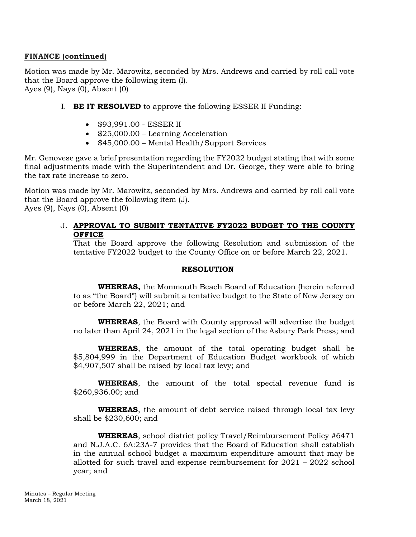### **FINANCE (continued)**

Motion was made by Mr. Marowitz, seconded by Mrs. Andrews and carried by roll call vote that the Board approve the following item (I). Ayes (9), Nays (0), Absent (0)

- I. **BE IT RESOLVED** to approve the following ESSER II Funding:
	- \$93,991.00 ESSER II
	- $\bullet$  \$25,000.00 Learning Acceleration
	- \$45,000.00 Mental Health/Support Services

Mr. Genovese gave a brief presentation regarding the FY2022 budget stating that with some final adjustments made with the Superintendent and Dr. George, they were able to bring the tax rate increase to zero.

Motion was made by Mr. Marowitz, seconded by Mrs. Andrews and carried by roll call vote that the Board approve the following item (J). Ayes (9), Nays (0), Absent (0)

## J. **APPROVAL TO SUBMIT TENTATIVE FY2022 BUDGET TO THE COUNTY OFFICE**

That the Board approve the following Resolution and submission of the tentative FY2022 budget to the County Office on or before March 22, 2021.

#### **RESOLUTION**

**WHEREAS,** the Monmouth Beach Board of Education (herein referred to as "the Board") will submit a tentative budget to the State of New Jersey on or before March 22, 2021; and

**WHEREAS**, the Board with County approval will advertise the budget no later than April 24, 2021 in the legal section of the Asbury Park Press; and

**WHEREAS**, the amount of the total operating budget shall be \$5,804,999 in the Department of Education Budget workbook of which \$4,907,507 shall be raised by local tax levy; and

**WHEREAS**, the amount of the total special revenue fund is \$260,936.00; and

**WHEREAS**, the amount of debt service raised through local tax levy shall be \$230,600; and

**WHEREAS**, school district policy Travel/Reimbursement Policy #6471 and N.J.A.C. 6A:23A-7 provides that the Board of Education shall establish in the annual school budget a maximum expenditure amount that may be allotted for such travel and expense reimbursement for 2021 – 2022 school year; and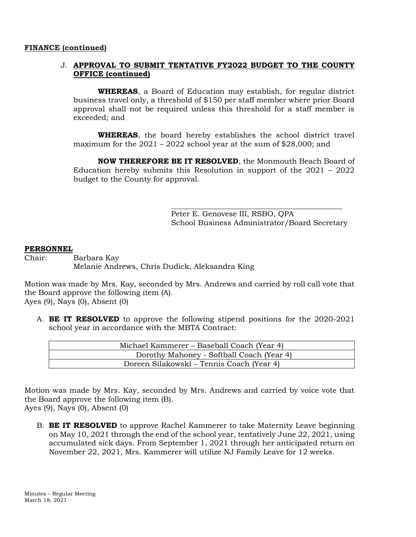#### **FINANCE (continued)**

## J. **APPROVAL TO SUBMIT TENTATIVE FY2022 BUDGET TO THE COUNTY OFFICE (continued)**

**WHEREAS**, a Board of Education may establish, for regular district business travel only, a threshold of \$150 per staff member where prior Board approval shall not be required unless this threshold for a staff member is exceeded; and

**WHEREAS**, the board hereby establishes the school district travel maximum for the 2021 – 2022 school year at the sum of \$28,000; and

**NOW THEREFORE BE IT RESOLVED**, the Monmouth Beach Board of Education hereby submits this Resolution in support of the 2021 – 2022 budget to the County for approval.

> Peter E. Genovese III, RSBO, QPA School Business Administrator/Board Secretary

#### **PERSONNEL**

Chair: Barbara Kay Melanie Andrews, Chris Dudick, Aleksandra King

Motion was made by Mrs. Kay, seconded by Mrs. Andrews and carried by roll call vote that the Board approve the following item (A). Ayes (9), Nays (0), Absent (0)

A. **BE IT RESOLVED** to approve the following stipend positions for the 2020-2021 school year in accordance with the MBTA Contract:

| Michael Kammerer – Baseball Coach (Year 4) |
|--------------------------------------------|
| Dorothy Mahoney - Softball Coach (Year 4)  |
| Doreen Silakowski – Tennis Coach (Year 4)  |

Motion was made by Mrs. Kay, seconded by Mrs. Andrews and carried by voice vote that the Board approve the following item (B).

Ayes (9), Nays (0), Absent (0)

B. **BE IT RESOLVED** to approve Rachel Kammerer to take Maternity Leave beginning on May 10, 2021 through the end of the school year, tentatively June 22, 2021, using accumulated sick days. From September 1, 2021 through her anticipated return on November 22, 2021, Mrs. Kammerer will utilize NJ Family Leave for 12 weeks.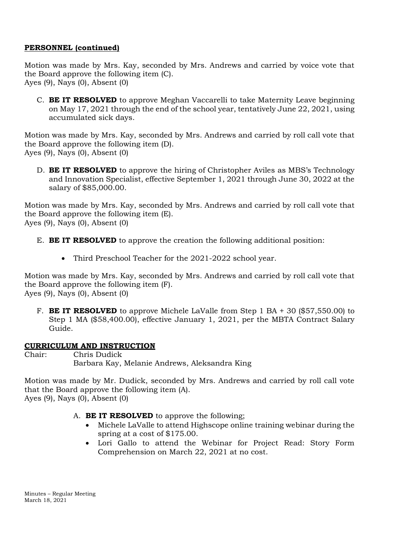## **PERSONNEL (continued)**

Motion was made by Mrs. Kay, seconded by Mrs. Andrews and carried by voice vote that the Board approve the following item (C). Ayes (9), Nays (0), Absent (0)

C. **BE IT RESOLVED** to approve Meghan Vaccarelli to take Maternity Leave beginning on May 17, 2021 through the end of the school year, tentatively June 22, 2021, using accumulated sick days.

Motion was made by Mrs. Kay, seconded by Mrs. Andrews and carried by roll call vote that the Board approve the following item (D). Ayes (9), Nays (0), Absent (0)

D. **BE IT RESOLVED** to approve the hiring of Christopher Aviles as MBS's Technology and Innovation Specialist, effective September 1, 2021 through June 30, 2022 at the salary of \$85,000.00.

Motion was made by Mrs. Kay, seconded by Mrs. Andrews and carried by roll call vote that the Board approve the following item (E). Ayes (9), Nays (0), Absent (0)

- E. **BE IT RESOLVED** to approve the creation the following additional position:
	- Third Preschool Teacher for the 2021-2022 school year.

Motion was made by Mrs. Kay, seconded by Mrs. Andrews and carried by roll call vote that the Board approve the following item (F). Ayes (9), Nays (0), Absent (0)

F. **BE IT RESOLVED** to approve Michele LaValle from Step 1 BA + 30 (\$57,550.00) to Step 1 MA (\$58,400.00), effective January 1, 2021, per the MBTA Contract Salary Guide.

#### **CURRICULUM AND INSTRUCTION**

Chair: Chris Dudick Barbara Kay, Melanie Andrews, Aleksandra King

Motion was made by Mr. Dudick, seconded by Mrs. Andrews and carried by roll call vote that the Board approve the following item (A). Ayes (9), Nays (0), Absent (0)

A. **BE IT RESOLVED** to approve the following;

- Michele LaValle to attend Highscope online training webinar during the spring at a cost of \$175.00.
- Lori Gallo to attend the Webinar for Project Read: Story Form Comprehension on March 22, 2021 at no cost.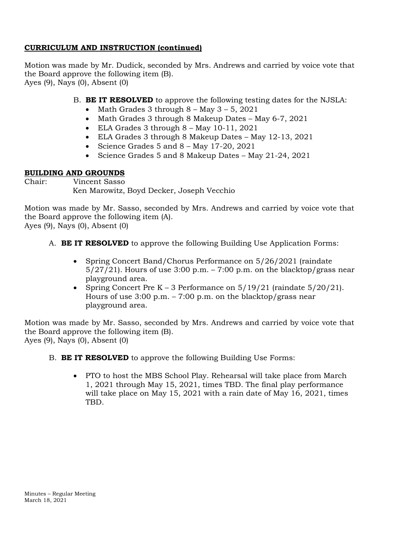# **CURRICULUM AND INSTRUCTION (continued)**

Motion was made by Mr. Dudick, seconded by Mrs. Andrews and carried by voice vote that the Board approve the following item (B). Ayes (9), Nays (0), Absent (0)

B. **BE IT RESOLVED** to approve the following testing dates for the NJSLA:

- Math Grades  $3$  through  $8 -$  May  $3 5$ , 2021
- Math Grades 3 through 8 Makeup Dates May 6-7, 2021
- ELA Grades  $3$  through  $8 -$  May 10-11, 2021
- ELA Grades 3 through 8 Makeup Dates May 12-13, 2021
- Science Grades  $5$  and  $8 -$  May 17-20, 2021
- Science Grades 5 and 8 Makeup Dates May 21-24, 2021

## **BUILDING AND GROUNDS**

Chair: Vincent Sasso Ken Marowitz, Boyd Decker, Joseph Vecchio

Motion was made by Mr. Sasso, seconded by Mrs. Andrews and carried by voice vote that the Board approve the following item (A).

Ayes (9), Nays (0), Absent (0)

- A. **BE IT RESOLVED** to approve the following Building Use Application Forms:
	- Spring Concert Band/Chorus Performance on 5/26/2021 (raindate)  $5/27/21$ ). Hours of use 3:00 p.m. – 7:00 p.m. on the blacktop/grass near playground area.
	- Spring Concert Pre  $K 3$  Performance on  $5/19/21$  (raindate  $5/20/21$ ). Hours of use  $3:00$  p.m. –  $7:00$  p.m. on the blacktop/grass near playground area.

Motion was made by Mr. Sasso, seconded by Mrs. Andrews and carried by voice vote that the Board approve the following item (B). Ayes (9), Nays (0), Absent (0)

B. **BE IT RESOLVED** to approve the following Building Use Forms:

 PTO to host the MBS School Play. Rehearsal will take place from March 1, 2021 through May 15, 2021, times TBD. The final play performance will take place on May 15, 2021 with a rain date of May 16, 2021, times TBD.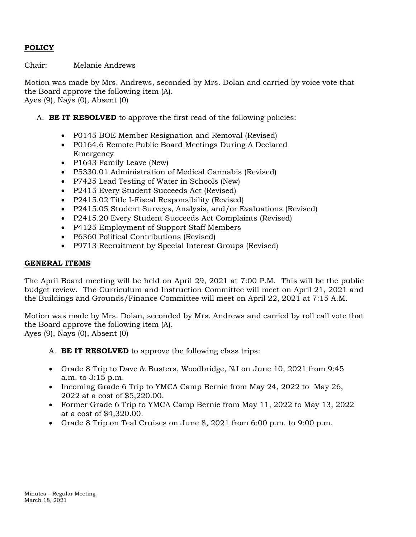# **POLICY**

Chair: Melanie Andrews

Motion was made by Mrs. Andrews, seconded by Mrs. Dolan and carried by voice vote that the Board approve the following item (A). Ayes (9), Nays (0), Absent (0)

- A. **BE IT RESOLVED** to approve the first read of the following policies:
	- P0145 BOE Member Resignation and Removal (Revised)
	- P0164.6 Remote Public Board Meetings During A Declared Emergency
	- P1643 Family Leave (New)
	- P5330.01 Administration of Medical Cannabis (Revised)
	- P7425 Lead Testing of Water in Schools (New)
	- P2415 Every Student Succeeds Act (Revised)
	- P2415.02 Title I-Fiscal Responsibility (Revised)
	- P2415.05 Student Surveys, Analysis, and/or Evaluations (Revised)
	- P2415.20 Every Student Succeeds Act Complaints (Revised)
	- P4125 Employment of Support Staff Members
	- P6360 Political Contributions (Revised)
	- P9713 Recruitment by Special Interest Groups (Revised)

#### **GENERAL ITEMS**

The April Board meeting will be held on April 29, 2021 at 7:00 P.M. This will be the public budget review. The Curriculum and Instruction Committee will meet on April 21, 2021 and the Buildings and Grounds/Finance Committee will meet on April 22, 2021 at 7:15 A.M.

Motion was made by Mrs. Dolan, seconded by Mrs. Andrews and carried by roll call vote that the Board approve the following item (A). Ayes (9), Nays (0), Absent (0)

- A. **BE IT RESOLVED** to approve the following class trips:
- Grade 8 Trip to Dave & Busters, Woodbridge, NJ on June 10, 2021 from 9:45 a.m. to 3:15 p.m.
- Incoming Grade 6 Trip to YMCA Camp Bernie from May 24, 2022 to May 26, 2022 at a cost of \$5,220.00.
- Former Grade 6 Trip to YMCA Camp Bernie from May 11, 2022 to May 13, 2022 at a cost of \$4,320.00.
- Grade 8 Trip on Teal Cruises on June 8, 2021 from  $6:00$  p.m. to  $9:00$  p.m.